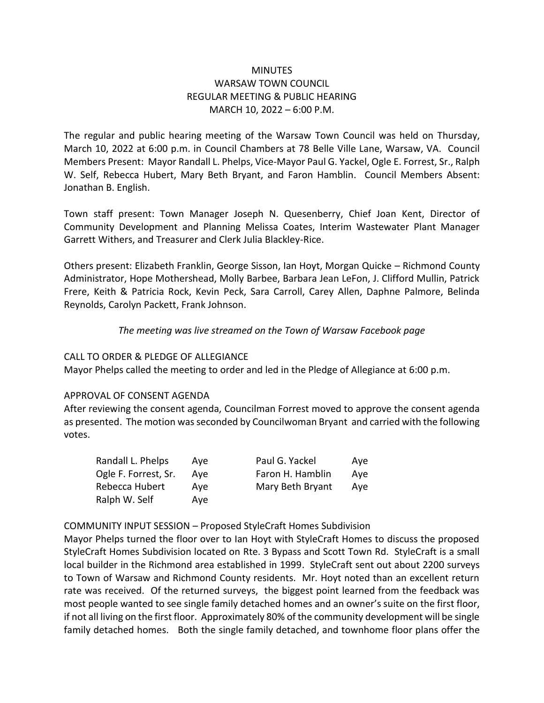## **MINUTES** WARSAW TOWN COUNCIL REGULAR MEETING & PUBLIC HEARING MARCH 10, 2022 – 6:00 P.M.

The regular and public hearing meeting of the Warsaw Town Council was held on Thursday, March 10, 2022 at 6:00 p.m. in Council Chambers at 78 Belle Ville Lane, Warsaw, VA. Council Members Present: Mayor Randall L. Phelps, Vice-Mayor Paul G. Yackel, Ogle E. Forrest, Sr., Ralph W. Self, Rebecca Hubert, Mary Beth Bryant, and Faron Hamblin. Council Members Absent: Jonathan B. English.

Town staff present: Town Manager Joseph N. Quesenberry, Chief Joan Kent, Director of Community Development and Planning Melissa Coates, Interim Wastewater Plant Manager Garrett Withers, and Treasurer and Clerk Julia Blackley-Rice.

Others present: Elizabeth Franklin, George Sisson, Ian Hoyt, Morgan Quicke – Richmond County Administrator, Hope Mothershead, Molly Barbee, Barbara Jean LeFon, J. Clifford Mullin, Patrick Frere, Keith & Patricia Rock, Kevin Peck, Sara Carroll, Carey Allen, Daphne Palmore, Belinda Reynolds, Carolyn Packett, Frank Johnson.

## *The meeting was live streamed on the Town of Warsaw Facebook page*

## CALL TO ORDER & PLEDGE OF ALLEGIANCE

Mayor Phelps called the meeting to order and led in the Pledge of Allegiance at 6:00 p.m.

## APPROVAL OF CONSENT AGENDA

After reviewing the consent agenda, Councilman Forrest moved to approve the consent agenda as presented. The motion was seconded by Councilwoman Bryant and carried with the following votes.

| Randall L. Phelps    | Ave | Paul G. Yackel   | Ave |
|----------------------|-----|------------------|-----|
| Ogle F. Forrest, Sr. | Ave | Faron H. Hamblin | Ave |
| Rebecca Hubert       | Ave | Mary Beth Bryant | Ave |
| Ralph W. Self        | Ave |                  |     |

## COMMUNITY INPUT SESSION – Proposed StyleCraft Homes Subdivision

Mayor Phelps turned the floor over to Ian Hoyt with StyleCraft Homes to discuss the proposed StyleCraft Homes Subdivision located on Rte. 3 Bypass and Scott Town Rd. StyleCraft is a small local builder in the Richmond area established in 1999. StyleCraft sent out about 2200 surveys to Town of Warsaw and Richmond County residents. Mr. Hoyt noted than an excellent return rate was received. Of the returned surveys, the biggest point learned from the feedback was most people wanted to see single family detached homes and an owner's suite on the first floor, if not all living on the first floor. Approximately 80% of the community development will be single family detached homes. Both the single family detached, and townhome floor plans offer the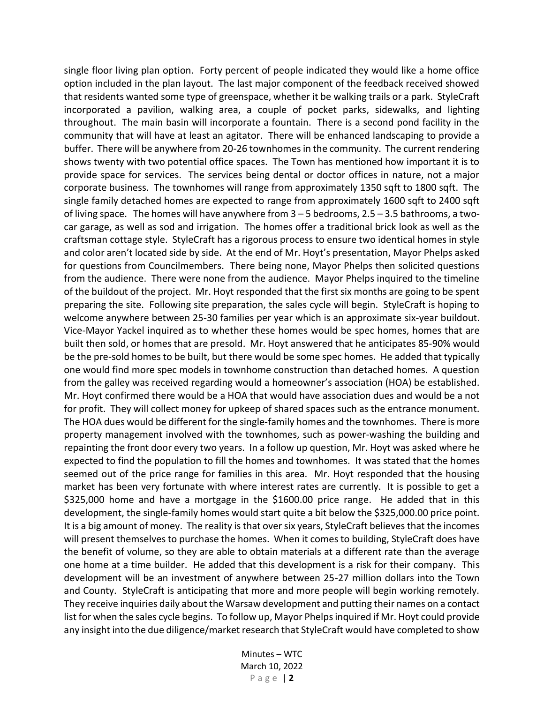single floor living plan option. Forty percent of people indicated they would like a home office option included in the plan layout. The last major component of the feedback received showed that residents wanted some type of greenspace, whether it be walking trails or a park. StyleCraft incorporated a pavilion, walking area, a couple of pocket parks, sidewalks, and lighting throughout. The main basin will incorporate a fountain. There is a second pond facility in the community that will have at least an agitator. There will be enhanced landscaping to provide a buffer. There will be anywhere from 20-26 townhomes in the community. The current rendering shows twenty with two potential office spaces. The Town has mentioned how important it is to provide space for services. The services being dental or doctor offices in nature, not a major corporate business. The townhomes will range from approximately 1350 sqft to 1800 sqft. The single family detached homes are expected to range from approximately 1600 sqft to 2400 sqft of living space. The homes will have anywhere from 3 – 5 bedrooms, 2.5 – 3.5 bathrooms, a twocar garage, as well as sod and irrigation. The homes offer a traditional brick look as well as the craftsman cottage style. StyleCraft has a rigorous process to ensure two identical homes in style and color aren't located side by side. At the end of Mr. Hoyt's presentation, Mayor Phelps asked for questions from Councilmembers. There being none, Mayor Phelps then solicited questions from the audience. There were none from the audience. Mayor Phelps inquired to the timeline of the buildout of the project. Mr. Hoyt responded that the first six months are going to be spent preparing the site. Following site preparation, the sales cycle will begin. StyleCraft is hoping to welcome anywhere between 25-30 families per year which is an approximate six-year buildout. Vice-Mayor Yackel inquired as to whether these homes would be spec homes, homes that are built then sold, or homes that are presold. Mr. Hoyt answered that he anticipates 85-90% would be the pre-sold homes to be built, but there would be some spec homes. He added that typically one would find more spec models in townhome construction than detached homes. A question from the galley was received regarding would a homeowner's association (HOA) be established. Mr. Hoyt confirmed there would be a HOA that would have association dues and would be a not for profit. They will collect money for upkeep of shared spaces such as the entrance monument. The HOA dues would be different for the single-family homes and the townhomes. There is more property management involved with the townhomes, such as power-washing the building and repainting the front door every two years. In a follow up question, Mr. Hoyt was asked where he expected to find the population to fill the homes and townhomes. It was stated that the homes seemed out of the price range for families in this area. Mr. Hoyt responded that the housing market has been very fortunate with where interest rates are currently. It is possible to get a \$325,000 home and have a mortgage in the \$1600.00 price range. He added that in this development, the single-family homes would start quite a bit below the \$325,000.00 price point. It is a big amount of money. The reality is that over six years, StyleCraft believes that the incomes will present themselves to purchase the homes. When it comes to building, StyleCraft does have the benefit of volume, so they are able to obtain materials at a different rate than the average one home at a time builder. He added that this development is a risk for their company. This development will be an investment of anywhere between 25-27 million dollars into the Town and County. StyleCraft is anticipating that more and more people will begin working remotely. They receive inquiries daily about the Warsaw development and putting their names on a contact list for when the sales cycle begins. To follow up, Mayor Phelps inquired if Mr. Hoyt could provide any insight into the due diligence/market research that StyleCraft would have completed to show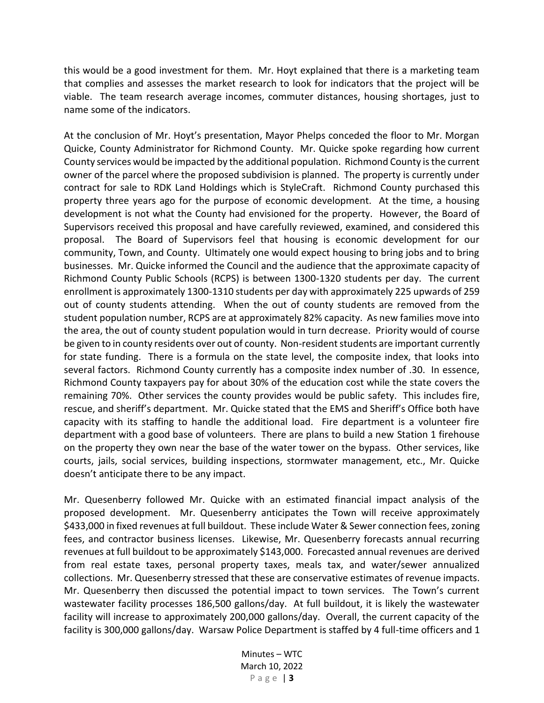this would be a good investment for them. Mr. Hoyt explained that there is a marketing team that complies and assesses the market research to look for indicators that the project will be viable. The team research average incomes, commuter distances, housing shortages, just to name some of the indicators.

At the conclusion of Mr. Hoyt's presentation, Mayor Phelps conceded the floor to Mr. Morgan Quicke, County Administrator for Richmond County. Mr. Quicke spoke regarding how current County services would be impacted by the additional population. Richmond County is the current owner of the parcel where the proposed subdivision is planned. The property is currently under contract for sale to RDK Land Holdings which is StyleCraft. Richmond County purchased this property three years ago for the purpose of economic development. At the time, a housing development is not what the County had envisioned for the property. However, the Board of Supervisors received this proposal and have carefully reviewed, examined, and considered this proposal. The Board of Supervisors feel that housing is economic development for our community, Town, and County. Ultimately one would expect housing to bring jobs and to bring businesses. Mr. Quicke informed the Council and the audience that the approximate capacity of Richmond County Public Schools (RCPS) is between 1300-1320 students per day. The current enrollment is approximately 1300-1310 students per day with approximately 225 upwards of 259 out of county students attending. When the out of county students are removed from the student population number, RCPS are at approximately 82% capacity. As new families move into the area, the out of county student population would in turn decrease. Priority would of course be given to in county residents over out of county. Non-resident students are important currently for state funding. There is a formula on the state level, the composite index, that looks into several factors. Richmond County currently has a composite index number of .30. In essence, Richmond County taxpayers pay for about 30% of the education cost while the state covers the remaining 70%. Other services the county provides would be public safety. This includes fire, rescue, and sheriff's department. Mr. Quicke stated that the EMS and Sheriff's Office both have capacity with its staffing to handle the additional load. Fire department is a volunteer fire department with a good base of volunteers. There are plans to build a new Station 1 firehouse on the property they own near the base of the water tower on the bypass. Other services, like courts, jails, social services, building inspections, stormwater management, etc., Mr. Quicke doesn't anticipate there to be any impact.

Mr. Quesenberry followed Mr. Quicke with an estimated financial impact analysis of the proposed development. Mr. Quesenberry anticipates the Town will receive approximately \$433,000 in fixed revenues at full buildout. These include Water & Sewer connection fees, zoning fees, and contractor business licenses. Likewise, Mr. Quesenberry forecasts annual recurring revenues at full buildout to be approximately \$143,000. Forecasted annual revenues are derived from real estate taxes, personal property taxes, meals tax, and water/sewer annualized collections. Mr. Quesenberry stressed that these are conservative estimates of revenue impacts. Mr. Quesenberry then discussed the potential impact to town services. The Town's current wastewater facility processes 186,500 gallons/day. At full buildout, it is likely the wastewater facility will increase to approximately 200,000 gallons/day. Overall, the current capacity of the facility is 300,000 gallons/day. Warsaw Police Department is staffed by 4 full-time officers and 1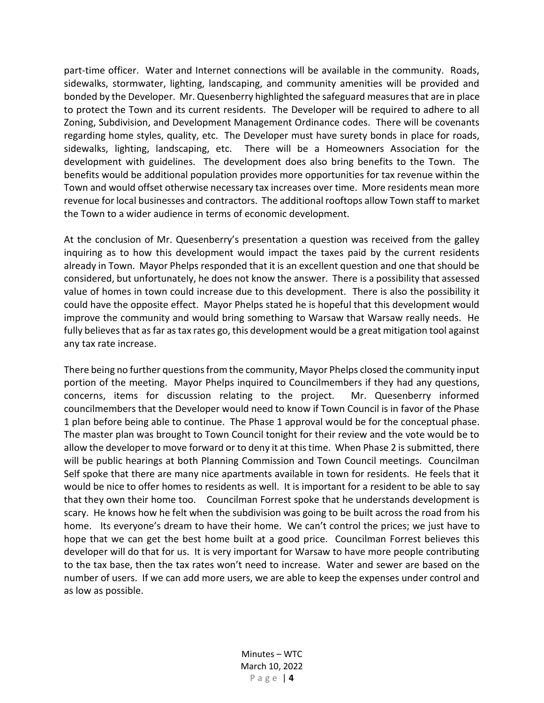part-time officer. Water and Internet connections will be available in the community. Roads, sidewalks, stormwater, lighting, landscaping, and community amenities will be provided and bonded by the Developer. Mr. Quesenberry highlighted the safeguard measures that are in place to protect the Town and its current residents. The Developer will be required to adhere to all Zoning, Subdivision, and Development Management Ordinance codes. There will be covenants regarding home styles, quality, etc. The Developer must have surety bonds in place for roads, sidewalks, lighting, landscaping, etc. There will be a Homeowners Association for the development with guidelines. The development does also bring benefits to the Town. The benefits would be additional population provides more opportunities for tax revenue within the Town and would offset otherwise necessary tax increases over time. More residents mean more revenue for local businesses and contractors. The additional rooftops allow Town staff to market the Town to a wider audience in terms of economic development.

At the conclusion of Mr. Quesenberry's presentation a question was received from the galley inquiring as to how this development would impact the taxes paid by the current residents already in Town. Mayor Phelps responded that it is an excellent question and one that should be considered, but unfortunately, he does not know the answer. There is a possibility that assessed value of homes in town could increase due to this development. There is also the possibility it could have the opposite effect. Mayor Phelps stated he is hopeful that this development would improve the community and would bring something to Warsaw that Warsaw really needs. He fully believes that as far as tax rates go, this development would be a great mitigation tool against any tax rate increase.

There being no further questions from the community, Mayor Phelps closed the community input portion of the meeting. Mayor Phelps inquired to Councilmembers if they had any questions, concerns, items for discussion relating to the project. Mr. Quesenberry informed councilmembers that the Developer would need to know if Town Council is in favor of the Phase 1 plan before being able to continue. The Phase 1 approval would be for the conceptual phase. The master plan was brought to Town Council tonight for their review and the vote would be to allow the developer to move forward or to deny it at this time. When Phase 2 is submitted, there will be public hearings at both Planning Commission and Town Council meetings. Councilman Self spoke that there are many nice apartments available in town for residents. He feels that it would be nice to offer homes to residents as well. It is important for a resident to be able to say that they own their home too. Councilman Forrest spoke that he understands development is scary. He knows how he felt when the subdivision was going to be built across the road from his home. Its everyone's dream to have their home. We can't control the prices; we just have to hope that we can get the best home built at a good price. Councilman Forrest believes this developer will do that for us. It is very important for Warsaw to have more people contributing to the tax base, then the tax rates won't need to increase. Water and sewer are based on the number of users. If we can add more users, we are able to keep the expenses under control and as low as possible.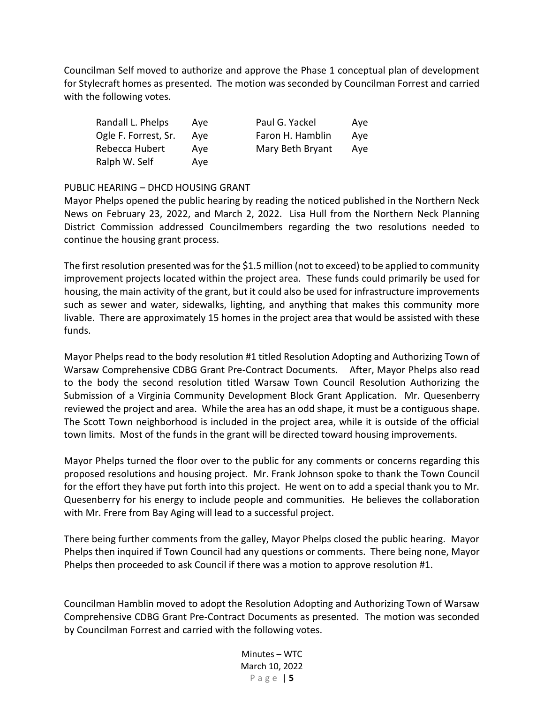Councilman Self moved to authorize and approve the Phase 1 conceptual plan of development for Stylecraft homes as presented. The motion was seconded by Councilman Forrest and carried with the following votes.

| Randall L. Phelps    | Ave | Paul G. Yackel   | Ave |
|----------------------|-----|------------------|-----|
| Ogle F. Forrest, Sr. | Ave | Faron H. Hamblin | Ave |
| Rebecca Hubert       | Ave | Mary Beth Bryant | Ave |
| Ralph W. Self        | Ave |                  |     |

## PUBLIC HEARING – DHCD HOUSING GRANT

Mayor Phelps opened the public hearing by reading the noticed published in the Northern Neck News on February 23, 2022, and March 2, 2022. Lisa Hull from the Northern Neck Planning District Commission addressed Councilmembers regarding the two resolutions needed to continue the housing grant process.

The first resolution presented was for the \$1.5 million (not to exceed) to be applied to community improvement projects located within the project area. These funds could primarily be used for housing, the main activity of the grant, but it could also be used for infrastructure improvements such as sewer and water, sidewalks, lighting, and anything that makes this community more livable. There are approximately 15 homes in the project area that would be assisted with these funds.

Mayor Phelps read to the body resolution #1 titled Resolution Adopting and Authorizing Town of Warsaw Comprehensive CDBG Grant Pre-Contract Documents. After, Mayor Phelps also read to the body the second resolution titled Warsaw Town Council Resolution Authorizing the Submission of a Virginia Community Development Block Grant Application. Mr. Quesenberry reviewed the project and area. While the area has an odd shape, it must be a contiguous shape. The Scott Town neighborhood is included in the project area, while it is outside of the official town limits. Most of the funds in the grant will be directed toward housing improvements.

Mayor Phelps turned the floor over to the public for any comments or concerns regarding this proposed resolutions and housing project. Mr. Frank Johnson spoke to thank the Town Council for the effort they have put forth into this project. He went on to add a special thank you to Mr. Quesenberry for his energy to include people and communities. He believes the collaboration with Mr. Frere from Bay Aging will lead to a successful project.

There being further comments from the galley, Mayor Phelps closed the public hearing. Mayor Phelps then inquired if Town Council had any questions or comments. There being none, Mayor Phelps then proceeded to ask Council if there was a motion to approve resolution #1.

Councilman Hamblin moved to adopt the Resolution Adopting and Authorizing Town of Warsaw Comprehensive CDBG Grant Pre-Contract Documents as presented. The motion was seconded by Councilman Forrest and carried with the following votes.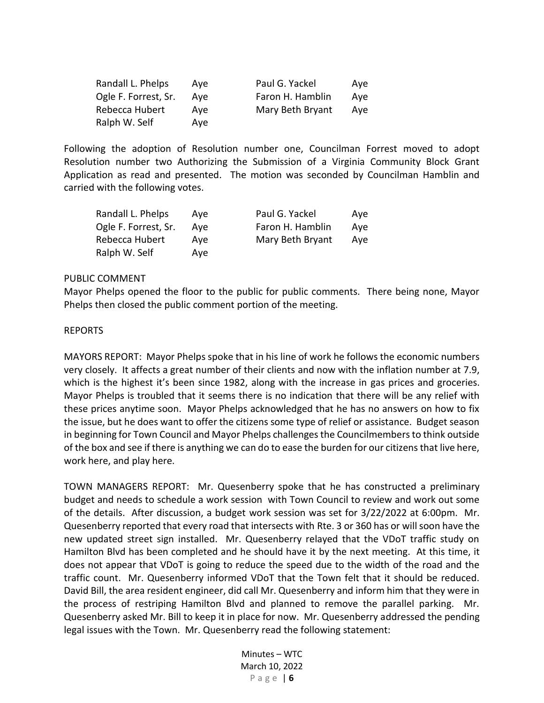| Randall L. Phelps    | Ave | Paul G. Yackel   | Ave |
|----------------------|-----|------------------|-----|
| Ogle F. Forrest, Sr. | Ave | Faron H. Hamblin | Ave |
| Rebecca Hubert       | Ave | Mary Beth Bryant | Ave |
| Ralph W. Self        | Ave |                  |     |

Following the adoption of Resolution number one, Councilman Forrest moved to adopt Resolution number two Authorizing the Submission of a Virginia Community Block Grant Application as read and presented. The motion was seconded by Councilman Hamblin and carried with the following votes.

| Randall L. Phelps    | Ave | Paul G. Yackel   | Ave |
|----------------------|-----|------------------|-----|
| Ogle F. Forrest, Sr. | Ave | Faron H. Hamblin | Ave |
| Rebecca Hubert       | Ave | Mary Beth Bryant | Ave |
| Ralph W. Self        | Ave |                  |     |

#### PUBLIC COMMENT

Mayor Phelps opened the floor to the public for public comments. There being none, Mayor Phelps then closed the public comment portion of the meeting.

#### REPORTS

MAYORS REPORT: Mayor Phelps spoke that in his line of work he follows the economic numbers very closely. It affects a great number of their clients and now with the inflation number at 7.9, which is the highest it's been since 1982, along with the increase in gas prices and groceries. Mayor Phelps is troubled that it seems there is no indication that there will be any relief with these prices anytime soon. Mayor Phelps acknowledged that he has no answers on how to fix the issue, but he does want to offer the citizens some type of relief or assistance. Budget season in beginning for Town Council and Mayor Phelps challenges the Councilmembers to think outside of the box and see if there is anything we can do to ease the burden for our citizens that live here, work here, and play here.

TOWN MANAGERS REPORT: Mr. Quesenberry spoke that he has constructed a preliminary budget and needs to schedule a work session with Town Council to review and work out some of the details. After discussion, a budget work session was set for 3/22/2022 at 6:00pm. Mr. Quesenberry reported that every road that intersects with Rte. 3 or 360 has or will soon have the new updated street sign installed. Mr. Quesenberry relayed that the VDoT traffic study on Hamilton Blvd has been completed and he should have it by the next meeting. At this time, it does not appear that VDoT is going to reduce the speed due to the width of the road and the traffic count. Mr. Quesenberry informed VDoT that the Town felt that it should be reduced. David Bill, the area resident engineer, did call Mr. Quesenberry and inform him that they were in the process of restriping Hamilton Blvd and planned to remove the parallel parking. Mr. Quesenberry asked Mr. Bill to keep it in place for now. Mr. Quesenberry addressed the pending legal issues with the Town. Mr. Quesenberry read the following statement: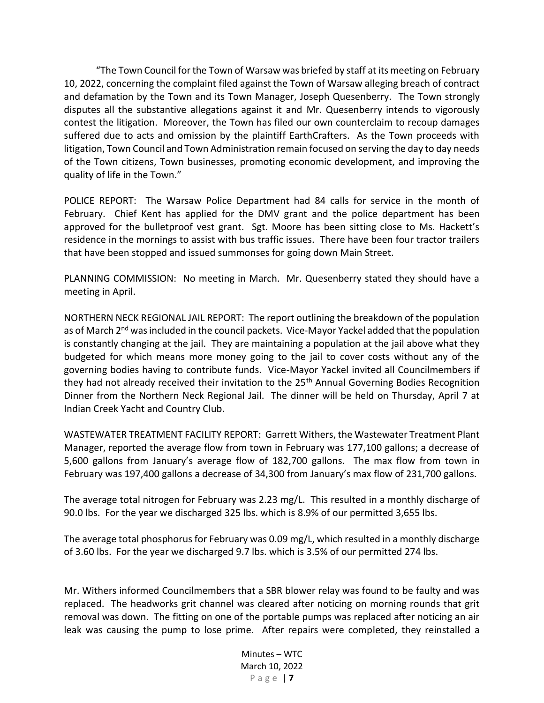"The Town Council for the Town of Warsaw was briefed by staff at its meeting on February 10, 2022, concerning the complaint filed against the Town of Warsaw alleging breach of contract and defamation by the Town and its Town Manager, Joseph Quesenberry. The Town strongly disputes all the substantive allegations against it and Mr. Quesenberry intends to vigorously contest the litigation. Moreover, the Town has filed our own counterclaim to recoup damages suffered due to acts and omission by the plaintiff EarthCrafters. As the Town proceeds with litigation, Town Council and Town Administration remain focused on serving the day to day needs of the Town citizens, Town businesses, promoting economic development, and improving the quality of life in the Town."

POLICE REPORT: The Warsaw Police Department had 84 calls for service in the month of February. Chief Kent has applied for the DMV grant and the police department has been approved for the bulletproof vest grant. Sgt. Moore has been sitting close to Ms. Hackett's residence in the mornings to assist with bus traffic issues. There have been four tractor trailers that have been stopped and issued summonses for going down Main Street.

PLANNING COMMISSION: No meeting in March. Mr. Quesenberry stated they should have a meeting in April.

NORTHERN NECK REGIONAL JAIL REPORT: The report outlining the breakdown of the population as of March 2<sup>nd</sup> was included in the council packets. Vice-Mayor Yackel added that the population is constantly changing at the jail. They are maintaining a population at the jail above what they budgeted for which means more money going to the jail to cover costs without any of the governing bodies having to contribute funds. Vice-Mayor Yackel invited all Councilmembers if they had not already received their invitation to the 25<sup>th</sup> Annual Governing Bodies Recognition Dinner from the Northern Neck Regional Jail. The dinner will be held on Thursday, April 7 at Indian Creek Yacht and Country Club.

WASTEWATER TREATMENT FACILITY REPORT: Garrett Withers, the Wastewater Treatment Plant Manager, reported the average flow from town in February was 177,100 gallons; a decrease of 5,600 gallons from January's average flow of 182,700 gallons. The max flow from town in February was 197,400 gallons a decrease of 34,300 from January's max flow of 231,700 gallons.

The average total nitrogen for February was 2.23 mg/L. This resulted in a monthly discharge of 90.0 lbs. For the year we discharged 325 lbs. which is 8.9% of our permitted 3,655 lbs.

The average total phosphorus for February was 0.09 mg/L, which resulted in a monthly discharge of 3.60 lbs. For the year we discharged 9.7 lbs. which is 3.5% of our permitted 274 lbs.

Mr. Withers informed Councilmembers that a SBR blower relay was found to be faulty and was replaced. The headworks grit channel was cleared after noticing on morning rounds that grit removal was down. The fitting on one of the portable pumps was replaced after noticing an air leak was causing the pump to lose prime. After repairs were completed, they reinstalled a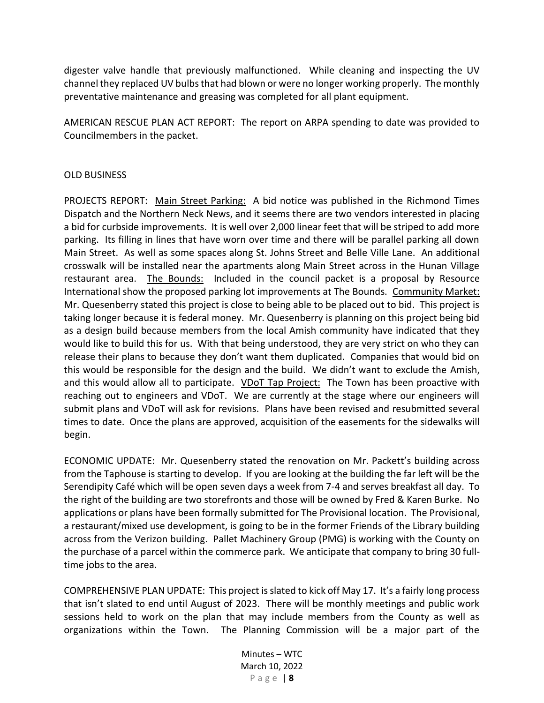digester valve handle that previously malfunctioned. While cleaning and inspecting the UV channel they replaced UV bulbs that had blown or were no longer working properly. The monthly preventative maintenance and greasing was completed for all plant equipment.

AMERICAN RESCUE PLAN ACT REPORT: The report on ARPA spending to date was provided to Councilmembers in the packet.

## OLD BUSINESS

PROJECTS REPORT: Main Street Parking: A bid notice was published in the Richmond Times Dispatch and the Northern Neck News, and it seems there are two vendors interested in placing a bid for curbside improvements. It is well over 2,000 linear feet that will be striped to add more parking. Its filling in lines that have worn over time and there will be parallel parking all down Main Street. As well as some spaces along St. Johns Street and Belle Ville Lane. An additional crosswalk will be installed near the apartments along Main Street across in the Hunan Village restaurant area. The Bounds: Included in the council packet is a proposal by Resource International show the proposed parking lot improvements at The Bounds. Community Market: Mr. Quesenberry stated this project is close to being able to be placed out to bid. This project is taking longer because it is federal money. Mr. Quesenberry is planning on this project being bid as a design build because members from the local Amish community have indicated that they would like to build this for us. With that being understood, they are very strict on who they can release their plans to because they don't want them duplicated. Companies that would bid on this would be responsible for the design and the build. We didn't want to exclude the Amish, and this would allow all to participate. VDoT Tap Project: The Town has been proactive with reaching out to engineers and VDoT. We are currently at the stage where our engineers will submit plans and VDoT will ask for revisions. Plans have been revised and resubmitted several times to date. Once the plans are approved, acquisition of the easements for the sidewalks will begin.

ECONOMIC UPDATE: Mr. Quesenberry stated the renovation on Mr. Packett's building across from the Taphouse is starting to develop. If you are looking at the building the far left will be the Serendipity Café which will be open seven days a week from 7-4 and serves breakfast all day. To the right of the building are two storefronts and those will be owned by Fred & Karen Burke. No applications or plans have been formally submitted for The Provisional location. The Provisional, a restaurant/mixed use development, is going to be in the former Friends of the Library building across from the Verizon building. Pallet Machinery Group (PMG) is working with the County on the purchase of a parcel within the commerce park. We anticipate that company to bring 30 fulltime jobs to the area.

COMPREHENSIVE PLAN UPDATE: This project is slated to kick off May 17. It's a fairly long process that isn't slated to end until August of 2023. There will be monthly meetings and public work sessions held to work on the plan that may include members from the County as well as organizations within the Town. The Planning Commission will be a major part of the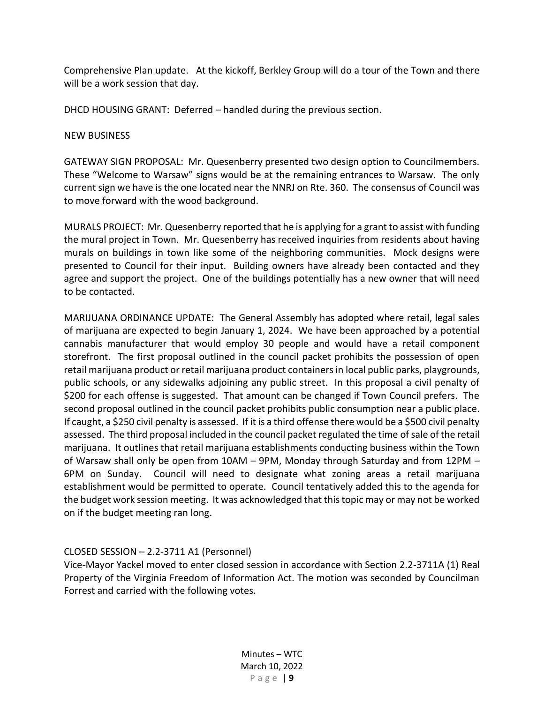Comprehensive Plan update. At the kickoff, Berkley Group will do a tour of the Town and there will be a work session that day.

DHCD HOUSING GRANT: Deferred – handled during the previous section.

## NEW BUSINESS

GATEWAY SIGN PROPOSAL: Mr. Quesenberry presented two design option to Councilmembers. These "Welcome to Warsaw" signs would be at the remaining entrances to Warsaw. The only current sign we have is the one located near the NNRJ on Rte. 360. The consensus of Council was to move forward with the wood background.

MURALS PROJECT: Mr. Quesenberry reported that he is applying for a grant to assist with funding the mural project in Town. Mr. Quesenberry has received inquiries from residents about having murals on buildings in town like some of the neighboring communities. Mock designs were presented to Council for their input. Building owners have already been contacted and they agree and support the project. One of the buildings potentially has a new owner that will need to be contacted.

MARIJUANA ORDINANCE UPDATE: The General Assembly has adopted where retail, legal sales of marijuana are expected to begin January 1, 2024. We have been approached by a potential cannabis manufacturer that would employ 30 people and would have a retail component storefront. The first proposal outlined in the council packet prohibits the possession of open retail marijuana product or retail marijuana product containers in local public parks, playgrounds, public schools, or any sidewalks adjoining any public street. In this proposal a civil penalty of \$200 for each offense is suggested. That amount can be changed if Town Council prefers. The second proposal outlined in the council packet prohibits public consumption near a public place. If caught, a \$250 civil penalty is assessed. If it is a third offense there would be a \$500 civil penalty assessed. The third proposal included in the council packet regulated the time of sale of the retail marijuana. It outlines that retail marijuana establishments conducting business within the Town of Warsaw shall only be open from 10AM – 9PM, Monday through Saturday and from 12PM – 6PM on Sunday. Council will need to designate what zoning areas a retail marijuana establishment would be permitted to operate. Council tentatively added this to the agenda for the budget work session meeting. It was acknowledged that this topic may or may not be worked on if the budget meeting ran long.

# CLOSED SESSION – 2.2-3711 A1 (Personnel)

Vice-Mayor Yackel moved to enter closed session in accordance with Section 2.2-3711A (1) Real Property of the Virginia Freedom of Information Act. The motion was seconded by Councilman Forrest and carried with the following votes.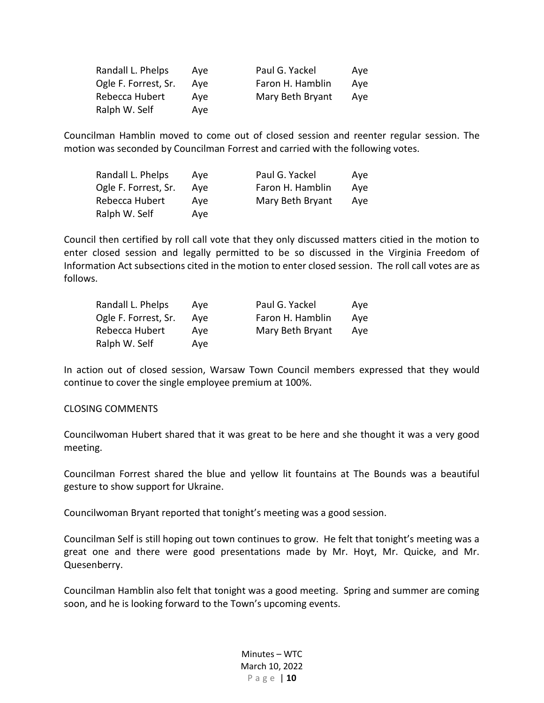| Randall L. Phelps    | Ave | Paul G. Yackel   | Ave |
|----------------------|-----|------------------|-----|
| Ogle F. Forrest, Sr. | Ave | Faron H. Hamblin | Ave |
| Rebecca Hubert       | Ave | Mary Beth Bryant | Ave |
| Ralph W. Self        | Ave |                  |     |

Councilman Hamblin moved to come out of closed session and reenter regular session. The motion was seconded by Councilman Forrest and carried with the following votes.

| Randall L. Phelps    | Ave | Paul G. Yackel   | Ave |
|----------------------|-----|------------------|-----|
| Ogle F. Forrest, Sr. | Ave | Faron H. Hamblin | Ave |
| Rebecca Hubert       | Ave | Mary Beth Bryant | Ave |
| Ralph W. Self        | Ave |                  |     |

Council then certified by roll call vote that they only discussed matters citied in the motion to enter closed session and legally permitted to be so discussed in the Virginia Freedom of Information Act subsections cited in the motion to enter closed session. The roll call votes are as follows.

| Randall L. Phelps    | Ave | Paul G. Yackel   | Ave |
|----------------------|-----|------------------|-----|
| Ogle F. Forrest, Sr. | Ave | Faron H. Hamblin | Ave |
| Rebecca Hubert       | Ave | Mary Beth Bryant | Ave |
| Ralph W. Self        | Ave |                  |     |

In action out of closed session, Warsaw Town Council members expressed that they would continue to cover the single employee premium at 100%.

#### CLOSING COMMENTS

Councilwoman Hubert shared that it was great to be here and she thought it was a very good meeting.

Councilman Forrest shared the blue and yellow lit fountains at The Bounds was a beautiful gesture to show support for Ukraine.

Councilwoman Bryant reported that tonight's meeting was a good session.

Councilman Self is still hoping out town continues to grow. He felt that tonight's meeting was a great one and there were good presentations made by Mr. Hoyt, Mr. Quicke, and Mr. Quesenberry.

Councilman Hamblin also felt that tonight was a good meeting. Spring and summer are coming soon, and he is looking forward to the Town's upcoming events.